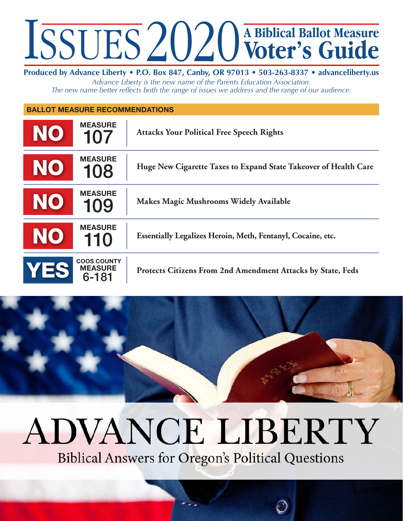## **Voter's Guide A Biblical Ballot Measure**

**Produced by Advance Liberty • P.O. Box 847, Canby, OR 97013 • 503-263-8337 • advanceliberty.us** *Advance Liberty is the new name of the Parents Education Association. The new name better reflects both the range of issues we address and the range of our audience.*

**Ballot Measure Recommendations** 

| <b>NO</b> | <b>MEASURE</b><br>107                         | <b>Attacks Your Political Free Speech Rights</b>                   |
|-----------|-----------------------------------------------|--------------------------------------------------------------------|
| NO        | <b>MEASURE</b><br>108                         | Huge New Cigarette Taxes to Expand State Takeover of Health Care   |
| <b>NO</b> | <b>MEASURE</b><br>109                         | Makes Magic Mushrooms Widely Available                             |
| <b>NO</b> | <b>MEASURE</b><br>110                         | Essentially Legalizes Heroin, Meth, Fentanyl, Cocaine, etc.        |
| YES       | <b>COOS COUNTY</b><br><b>MEASURE</b><br>6-181 | <b>Protects Citizens From 2nd Amendment Attacks by State, Feds</b> |

## **ADVANCE LIBERTY**

**Biblical Answers for Oregon's Political Questions**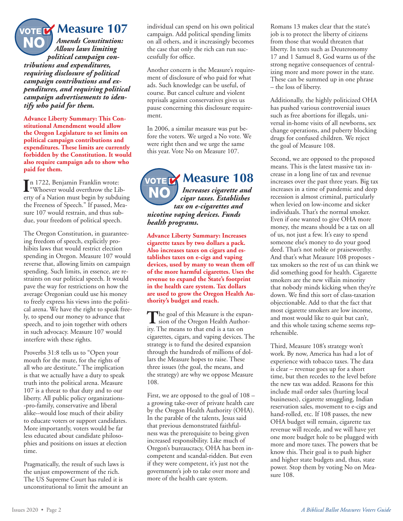**Measure 107**

*Amends Constitution: Allows laws limiting political campaign contributions and expenditures, requiring disclosure of political campaign contributions and expenditures, and requiring political campaign advertisements to identify who paid for them.* NO

VOTE

**Advance Liberty Summary: This Constitutional Amendment would allow the Oregon Legislature to set limits on political campaign contributions and expenditures. These limits are currently forbidden by the Constitution. It would also require campaign ads to show who paid for them.**

In 1722, Benjamin Franklin wrote:<br>
"Whoever would overthrow the Lil" "Whoever would overthrow the Liberty of a Nation must begin by subduing the Freeness of Speech." If passed, Measure 107 would restrain, and thus subdue, your freedom of political speech.

The Oregon Constitution, in guaranteeing freedom of speech, explicitly prohibits laws that would restrict election spending in Oregon. Measure 107 would reverse that, allowing limits on campaign spending. Such limits, in essence, are restraints on our political speech. It would pave the way for restrictions on how the average Oregonian could use his money to freely express his views into the political arena. We have the right to speak freely, to spend our money to advance that speech, and to join together with others in such advocacy. Measure 107 would interfere with these rights.

Proverbs 31:8 tells us to "Open your mouth for the mute, for the rights of all who are destitute." The implication is that we actually have a duty to speak truth into the political arena. Measure 107 is a threat to that duty and to our liberty. All public policy organizations- -pro-family, conservative and liberal alike--would lose much of their ability to educate voters or support candidates. More importantly, voters would be far less educated about candidate philosophies and positions on issues at election time.

Pragmatically, the result of such laws is the unjust empowerment of the rich. The US Supreme Court has ruled it is unconstitutional to limit the amount an individual can spend on his own political campaign. Add political spending limits on all others, and it increasingly becomes the case that only the rich can run successfully for office.

Another concern is the Measure's requirement of disclosure of who paid for what ads. Such knowledge can be useful, of course. But cancel culture and violent reprisals against conservatives gives us pause concerning this disclosure requirement.

In 2006, a similar measure was put before the voters. We urged a No vote. We were right then and we urge the same this year. Vote No on Measure 107.

**WOTER Measure 108** *Increases cigarette and cigar taxes. Establishes tax on e-cigarettes and nicotine vaping devices. Funds health programs.* **NO** 

**Advance Liberty Summary: Increases cigarette taxes by two dollars a pack. Also increases taxes on cigars and establishes taxes on e-cigs and vaping devices, used by many to wean them off of the more harmful cigarettes. Uses the revenue to expand the State's footprint in the health care system. Tax dollars are used to grow the Oregon Health Authority's budget and reach.**

The goal of this Measure is the expan-<br>
sion of the Oregon Health Authority. The means to that end is a tax on cigarettes, cigars, and vaping devices. The strategy is to fund the desired expansion through the hundreds of millions of dollars the Measure hopes to raise. These three issues (the goal, the means, and the strategy) are why we oppose Measure 108.

First, we are opposed to the goal of 108 – a growing take-over of private health care by the Oregon Health Authority (OHA). In the parable of the talents, Jesus said that previous demonstrated faithfulness was the prerequisite to being given increased responsibility. Like much of Oregon's bureaucracy, OHA has been incompetent and scandal-ridden. But even if they were competent, it's just not the government's job to take over more and more of the health care system.

Romans 13 makes clear that the state's job is to protect the liberty of citizens from those that would threaten that liberty. In texts such as Deuteronomy 17 and 1 Samuel 8, God warns us of the strong negative consequences of centralizing more and more power in the state. These can be summed up in one phrase – the loss of liberty.

Additionally, the highly politicized OHA has pushed various controversial issues such as free abortions for illegals, universal in-home visits of all newborns, sex change operations, and puberty blocking drugs for confused children. We reject the goal of Measure 108.

Second, we are opposed to the proposed means. This is the latest massive tax increase in a long line of tax and revenue increases over the past three years. Big tax increases in a time of pandemic and deep recession is almost criminal, particularly when levied on low-income and sicker individuals. That's the normal smoker. Even if one wanted to give OHA more money, the means should be a tax on all of us, not just a few. It's easy to spend someone else's money to do your good deed. That's not noble or praiseworthy. And that's what Measure 108 proposes tax smokers so the rest of us can think we did something good for health. Cigarette smokers are the new villain minority that nobody minds kicking when they're down. We find this sort of class-taxation objectionable. Add to that the fact that most cigarette smokers are low income, and most would like to quit but can't, and this whole taxing scheme seems reprehensible.

Third, Measure 108's strategy won't work. By now, America has had a lot of experience with tobacco taxes. The data is clear – revenue goes up for a short time, but then recedes to the level before the new tax was added. Reasons for this include mail order sales (hurting local businesses), cigarette smuggling, Indian reservation sales, movement to e-cigs and hand-rolled, etc. If 108 passes, the new OHA budget will remain, cigarette tax revenue will recede, and we will have yet one more budget hole to be plugged with more and more taxes. The powers that be know this. Their goal is to push higher and higher state budgets and, thus, state power. Stop them by voting No on Measure 108.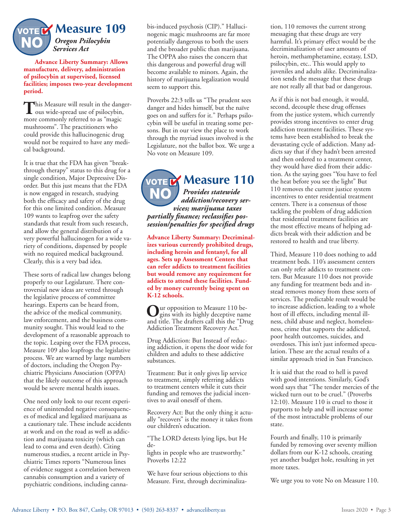

**Advance Liberty Summary: Allows manufacture, delivery, administration of psilocybin at supervised, licensed facilities; imposes two-year development period.**

This Measure will result in the danger-<br>
ous wide-spread use of psilocybin, more commonly referred to as "magic mushrooms". The practitioners who could provide this hallucinogenic drug would not be required to have any medical background.

It is true that the FDA has given "breakthrough therapy" status to this drug for a single condition, Major Depressive Disorder. But this just means that the FDA is now engaged in research, studying both the efficacy and safety of the drug for this one limited condition. Measure 109 wants to leapfrog over the safety standards that result from such research, and allow the general distribution of a very powerful hallucinogen for a wide variety of conditions, dispensed by people with no required medical background. Clearly, this is a very bad idea.

These sorts of radical law changes belong properly to our Legislature. There controversial new ideas are vetted through the legislative process of committee hearings. Experts can be heard from, the advice of the medical community, law enforcement, and the business community sought. This would lead to the development of a reasonable approach to the topic. Leaping over the FDA process, Measure 109 also leapfrogs the legislative process. We are warned by large numbers of doctors, including the Oregon Psychiatric Physicians Association (OPPA) that the likely outcome of this approach would be severe mental health issues.

One need only look to our recent experience of unintended negative consequences of medical and legalized marijuana as a cautionary tale. These include accidents at work and on the road as well as addiction and marijuana toxicity (which can lead to coma and even death). Citing numerous studies, a recent article in Psychiatric Times reports "Numerous lines of evidence suggest a correlation between cannabis consumption and a variety of psychiatric conditions, including cannabis-induced psychosis (CIP)." Hallucinogenic magic mushrooms are far more potentially dangerous to both the users and the broader public than marijuana. The OPPA also raises the concern that this dangerous and powerful drug will become available to minors. Again, the history of marijuana legalization would seem to support this.

Proverbs 22:3 tells us "The prudent sees danger and hides himself, but the naïve goes on and suffers for it." Perhaps psilocybin will be useful in treating some persons. But in our view the place to work through the myriad issues involved is the Legislature, not the ballot box. We urge a No vote on Measure 109.

**WOTER Measure 110** *Provides statewide addiction/recovery services; marijuana taxes partially finance; reclassifies possession/penalties for specified drugs* NO

**Advance Liberty Summary: Decriminalizes various currently prohibited drugs, including heroin and fentanyl, for all ages. Sets up Assessment Centers that can refer addicts to treatment facilities but would remove any requirement for addicts to attend these facilities. Funded by money currently being spent on K-12 schools.** 

**Our opposition to Measure 110 be-**<br>gins with its highly deceptive name and title. The drafters call this the "Drug Addiction Treatment Recovery Act."

Drug Addiction: But Instead of reducing addiction, it opens the door wide for children and adults to these addictive substances.

Treatment: But it only gives lip service to treatment, simply referring addicts to treatment centers while it cuts their funding and removes the judicial incentives to avail oneself of them.

Recovery Act: But the only thing it actually "recovers" is the money it takes from our children's education.

"The LORD detests lying lips, but He de-

lights in people who are trustworthy." Proverbs 12:22

We have four serious objections to this Measure. First, through decriminaliza-

tion, 110 removes the current strong messaging that these drugs are very harmful. It's primary effect would be the decriminalization of user amounts of heroin, methamphetamine, ecstasy, LSD, psilocybin, etc.. This would apply to juveniles and adults alike. Decriminalization sends the message that these drugs are not really all that bad or dangerous.

As if this is not bad enough, it would, second, decouple these drug offenses from the justice system, which currently provides strong incentives to enter drug addiction treatment facilities. These systems have been established to break the devastating cycle of addiction. Many addicts say that if they hadn't been arrested and then ordered to a treatment center, they would have died from their addiction. As the saying goes "You have to feel the heat before you see the light" But 110 removes the current justice system incentives to enter residential treatment centers. There is a consensus of those tackling the problem of drug addiction that residential treatment facilities are the most effective means of helping addicts break with their addiction and be restored to health and true liberty.

Third, Measure 110 does nothing to add treatment beds. 110's assessment centers can only refer addicts to treatment centers. But Measure 110 does not provide any funding for treatment beds and instead removes money from these sorts of services. The predictable result would be to increase addiction, leading to a whole host of ill effects, including mental illness, child abuse and neglect, homelessness, crime that supports the addicted, poor health outcomes, suicides, and overdoses. This isn't just informed speculation. These are the actual results of a similar approach tried in San Francisco.

It is said that the road to hell is paved with good intentions. Similarly, God's word says that "The tender mercies of the wicked turn out to be cruel." (Proverbs 12:10). Measure 110 is cruel to those it purports to help and will increase some of the most intractable problems of our state.

Fourth and finally, 110 is primarily funded by removing over seventy million dollars from our K-12 schools, creating yet another budget hole, resulting in yet more taxes.

We urge you to vote No on Measure 110.